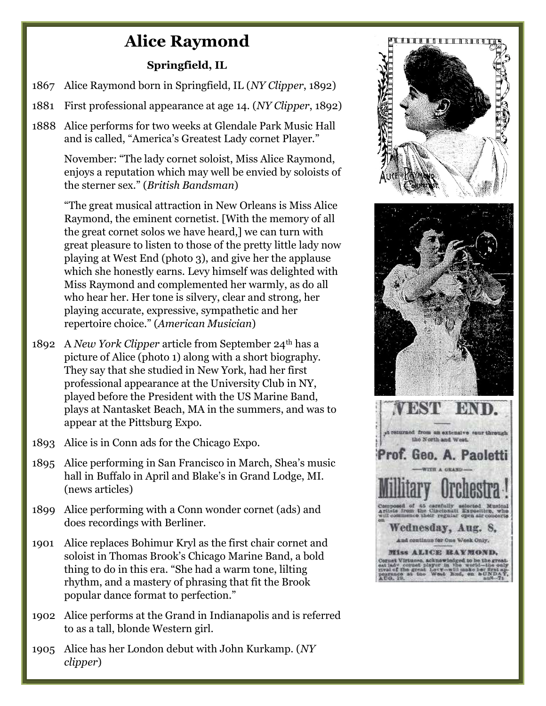## Alice Raymond

## Springfield, IL

- 1867 Alice Raymond born in Springfield, IL (NY Clipper, 1892)
- 1881 First professional appearance at age 14. (NY Clipper, 1892)
- 1888 Alice performs for two weeks at Glendale Park Music Hall and is called, "America's Greatest Lady cornet Player."

 November: "The lady cornet soloist, Miss Alice Raymond, enjoys a reputation which may well be envied by soloists of the sterner sex." (British Bandsman)

 "The great musical attraction in New Orleans is Miss Alice Raymond, the eminent cornetist. [With the memory of all the great cornet solos we have heard,] we can turn with great pleasure to listen to those of the pretty little lady now playing at West End (photo 3), and give her the applause which she honestly earns. Levy himself was delighted with Miss Raymond and complemented her warmly, as do all who hear her. Her tone is silvery, clear and strong, her playing accurate, expressive, sympathetic and her repertoire choice." (American Musician)

- 1892 A New York Clipper article from September 24<sup>th</sup> has a picture of Alice (photo 1) along with a short biography. They say that she studied in New York, had her first professional appearance at the University Club in NY, played before the President with the US Marine Band, plays at Nantasket Beach, MA in the summers, and was to appear at the Pittsburg Expo.
- 1893 Alice is in Conn ads for the Chicago Expo.
- 1895 Alice performing in San Francisco in March, Shea's music hall in Buffalo in April and Blake's in Grand Lodge, MI. (news articles)
- 1899 Alice performing with a Conn wonder cornet (ads) and does recordings with Berliner.
- 1901 Alice replaces Bohimur Kryl as the first chair cornet and soloist in Thomas Brook's Chicago Marine Band, a bold thing to do in this era. "She had a warm tone, lilting rhythm, and a mastery of phrasing that fit the Brook popular dance format to perfection."
- 1902 Alice performs at the Grand in Indianapolis and is referred to as a tall, blonde Western girl.
- 1905 Alice has her London debut with John Kurkamp. (NY clipper)